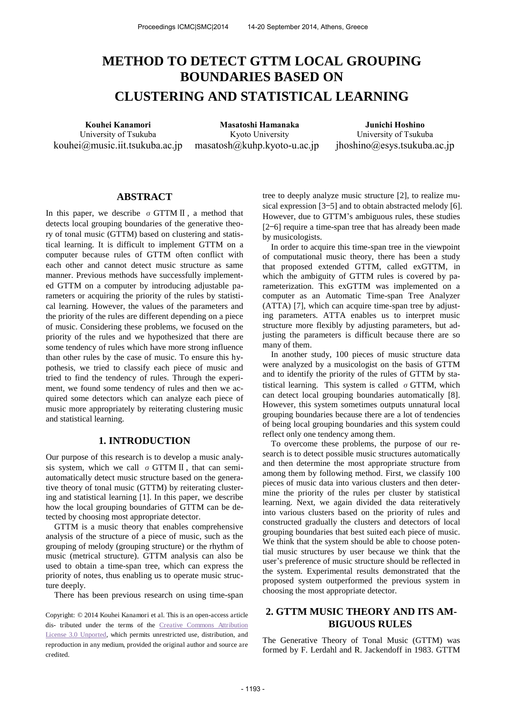# **METHOD TO DETECT GTTM LOCAL GROUPING BOUNDARIES BASED ON CLUSTERING AND STATISTICAL LEARNING**

University of Tsukuba kouhei@music.iit.tsukuba.ac.jp

**Kouhei Kanamori Masatoshi Hamanaka Junichi Hoshino**  Kyoto University masatosh@kuhp.kyoto-u.ac.jp

University of Tsukuba jhoshino@esys.tsukuba.ac.jp

## **ABSTRACT**

In this paper, we describe  $\sigma$  GTTM II, a method that detects local grouping boundaries of the generative theory of tonal music (GTTM) based on clustering and statistical learning. It is difficult to implement GTTM on a computer because rules of GTTM often conflict with each other and cannot detect music structure as same manner. Previous methods have successfully implemented GTTM on a computer by introducing adjustable parameters or acquiring the priority of the rules by statistical learning. However, the values of the parameters and the priority of the rules are different depending on a piece of music. Considering these problems, we focused on the priority of the rules and we hypothesized that there are some tendency of rules which have more strong influence than other rules by the case of music. To ensure this hypothesis, we tried to classify each piece of music and tried to find the tendency of rules. Through the experiment, we found some tendency of rules and then we acquired some detectors which can analyze each piece of music more appropriately by reiterating clustering music and statistical learning.

## **1. INTRODUCTION**

Our purpose of this research is to develop a music analysis system, which we call  $\sigma$  GTTM II, that can semiautomatically detect music structure based on the generative theory of tonal music (GTTM) by reiterating clustering and statistical learning [1]. In this paper, we describe how the local grouping boundaries of GTTM can be detected by choosing most appropriate detector.

GTTM is a music theory that enables comprehensive analysis of the structure of a piece of music, such as the grouping of melody (grouping structure) or the rhythm of music (metrical structure). GTTM analysis can also be used to obtain a time-span tree, which can express the priority of notes, thus enabling us to operate music structure deeply.

There has been previous research on using time-span

Copyright: © 2014 Kouhei Kanamori et al. This is an open-access article dis- tributed under the terms of the [Creative Commons Attribution](http://creativecommons.org/licenses/by/3.0/)  [License 3.0 Unported,](http://creativecommons.org/licenses/by/3.0/) which permits unrestricted use, distribution, and reproduction in any medium, provided the original author and source are credited.

tree to deeply analyze music structure [2], to realize musical expression [3—5] and to obtain abstracted melody [6]. However, due to GTTM's ambiguous rules, these studies [2—6] require a time-span tree that has already been made by musicologists.

In order to acquire this time-span tree in the viewpoint of computational music theory, there has been a study that proposed extended GTTM, called exGTTM, in which the ambiguity of GTTM rules is covered by parameterization. This exGTTM was implemented on a computer as an Automatic Time-span Tree Analyzer (ATTA) [7], which can acquire time-span tree by adjusting parameters. ATTA enables us to interpret music structure more flexibly by adjusting parameters, but adjusting the parameters is difficult because there are so many of them.

In another study, 100 pieces of music structure data were analyzed by a musicologist on the basis of GTTM and to identify the priority of the rules of GTTM by statistical learning. This system is called  $\sigma$  GTTM, which can detect local grouping boundaries automatically [8]. However, this system sometimes outputs unnatural local grouping boundaries because there are a lot of tendencies of being local grouping boundaries and this system could reflect only one tendency among them.

To overcome these problems, the purpose of our research is to detect possible music structures automatically and then determine the most appropriate structure from among them by following method. First, we classify 100 pieces of music data into various clusters and then determine the priority of the rules per cluster by statistical learning. Next, we again divided the data reiteratively into various clusters based on the priority of rules and constructed gradually the clusters and detectors of local grouping boundaries that best suited each piece of music. We think that the system should be able to choose potential music structures by user because we think that the user's preference of music structure should be reflected in the system. Experimental results demonstrated that the proposed system outperformed the previous system in choosing the most appropriate detector.

## **2. GTTM MUSIC THEORY AND ITS AM-BIGUOUS RULES**

The Generative Theory of Tonal Music (GTTM) was formed by F. Lerdahl and R. Jackendoff in 1983. GTTM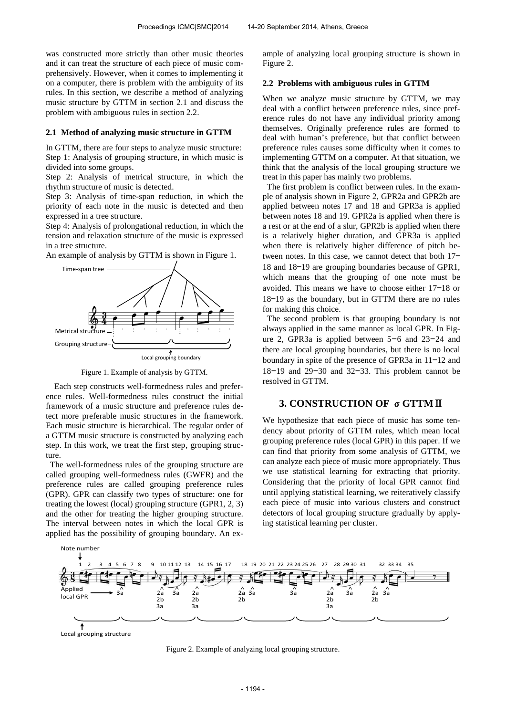was constructed more strictly than other music theories and it can treat the structure of each piece of music comprehensively. However, when it comes to implementing it on a computer, there is problem with the ambiguity of its rules. In this section, we describe a method of analyzing music structure by GTTM in section 2.1 and discuss the problem with ambiguous rules in section 2.2.

#### **2.1 Method of analyzing music structure in GTTM**

In GTTM, there are four steps to analyze music structure: Step 1: Analysis of grouping structure, in which music is divided into some groups.

Step 2: Analysis of metrical structure, in which the rhythm structure of music is detected.

Step 3: Analysis of time-span reduction, in which the priority of each note in the music is detected and then expressed in a tree structure.

Step 4: Analysis of prolongational reduction, in which the tension and relaxation structure of the music is expressed in a tree structure.

An example of analysis by GTTM is shown in Figure 1.



Figure 1. Example of analysis by GTTM.

Each step constructs well-formedness rules and preference rules. Well-formedness rules construct the initial framework of a music structure and preference rules detect more preferable music structures in the framework. Each music structure is hierarchical. The regular order of a GTTM music structure is constructed by analyzing each step. In this work, we treat the first step, grouping structure.

 The well-formedness rules of the grouping structure are called grouping well-formedness rules (GWFR) and the preference rules are called grouping preference rules (GPR). GPR can classify two types of structure: one for treating the lowest (local) grouping structure (GPR1, 2, 3) and the other for treating the higher grouping structure. The interval between notes in which the local GPR is applied has the possibility of grouping boundary. An example of analyzing local grouping structure is shown in Figure 2.

#### **2.2 Problems with ambiguous rules in GTTM**

When we analyze music structure by GTTM, we may deal with a conflict between preference rules, since preference rules do not have any individual priority among themselves. Originally preference rules are formed to deal with human's preference, but that conflict between preference rules causes some difficulty when it comes to implementing GTTM on a computer. At that situation, we think that the analysis of the local grouping structure we treat in this paper has mainly two problems.

 The first problem is conflict between rules. In the example of analysis shown in Figure 2, GPR2a and GPR2b are applied between notes 17 and 18 and GPR3a is applied between notes 18 and 19. GPR2a is applied when there is a rest or at the end of a slur, GPR2b is applied when there is a relatively higher duration, and GPR3a is applied when there is relatively higher difference of pitch between notes. In this case, we cannot detect that both 17— 18 and 18—19 are grouping boundaries because of GPR1, which means that the grouping of one note must be avoided. This means we have to choose either 17—18 or 18—19 as the boundary, but in GTTM there are no rules for making this choice.

 The second problem is that grouping boundary is not always applied in the same manner as local GPR. In Figure 2, GPR3a is applied between 5—6 and 23—24 and there are local grouping boundaries, but there is no local boundary in spite of the presence of GPR3a in 11—12 and  $18-19$  and  $29-30$  and  $32-33$ . This problem cannot be resolved in GTTM.

## **3. CONSTRUCTION OF** σ**GTTM**Ⅱ

We hypothesize that each piece of music has some tendency about priority of GTTM rules, which mean local grouping preference rules (local GPR) in this paper. If we can find that priority from some analysis of GTTM, we can analyze each piece of music more appropriately. Thus we use statistical learning for extracting that priority. Considering that the priority of local GPR cannot find until applying statistical learning, we reiteratively classify each piece of music into various clusters and construct detectors of local grouping structure gradually by applying statistical learning per cluster.



Local grouping structure

Figure 2. Example of analyzing local grouping structure.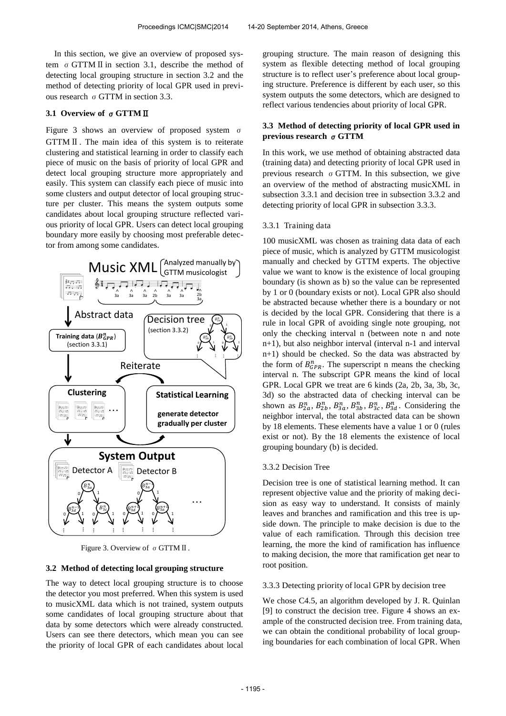In this section, we give an overview of proposed system σGTTMⅡin section 3.1, describe the method of detecting local grouping structure in section 3.2 and the method of detecting priority of local GPR used in previous research  $σ$  GTTM in section 3.3.

#### **3.1 Overview of** σ**GTTM**Ⅱ

Figure 3 shows an overview of proposed system σ GTTMⅡ. The main idea of this system is to reiterate clustering and statistical learning in order to classify each piece of music on the basis of priority of local GPR and detect local grouping structure more appropriately and easily. This system can classify each piece of music into some clusters and output detector of local grouping structure per cluster. This means the system outputs some candidates about local grouping structure reflected various priority of local GPR. Users can detect local grouping boundary more easily by choosing most preferable detector from among some candidates.



Figure 3. Overview of σGTTMⅡ.

#### **3.2 Method of detecting local grouping structure**

The way to detect local grouping structure is to choose the detector you most preferred. When this system is used to musicXML data which is not trained, system outputs some candidates of local grouping structure about that data by some detectors which were already constructed. Users can see there detectors, which mean you can see the priority of local GPR of each candidates about local

grouping structure. The main reason of designing this system as flexible detecting method of local grouping structure is to reflect user's preference about local grouping structure. Preference is different by each user, so this system outputs the some detectors, which are designed to reflect various tendencies about priority of local GPR.

## **3.3 Method of detecting priority of local GPR used in previous research** σ**GTTM**

In this work, we use method of obtaining abstracted data (training data) and detecting priority of local GPR used in previous research  $\sigma$  GTTM. In this subsection, we give an overview of the method of abstracting musicXML in subsection 3.3.1 and decision tree in subsection 3.3.2 and detecting priority of local GPR in subsection 3.3.3.

#### 3.3.1 Training data

100 musicXML was chosen as training data data of each piece of music, which is analyzed by GTTM musicologist manually and checked by GTTM experts. The objective value we want to know is the existence of local grouping boundary (is shown as b) so the value can be represented by 1 or 0 (boundary exists or not). Local GPR also should be abstracted because whether there is a boundary or not is decided by the local GPR. Considering that there is a rule in local GPR of avoiding single note grouping, not only the checking interval n (between note n and note n+1), but also neighbor interval (interval n-1 and interval n+1) should be checked. So the data was abstracted by the form of  $B_{GPR}^n$ . The superscript n means the checking interval n. The subscript GPR means the kind of local GPR. Local GPR we treat are 6 kinds (2a, 2b, 3a, 3b, 3c, 3d) so the abstracted data of checking interval can be shown as  $B_{2a}^n$ ,  $B_{2b}^n$ ,  $B_{3a}^n$ ,  $B_{3b}^n$ ,  $B_{3c}^n$ ,  $B_{3d}^n$ . Considering the neighbor interval, the total abstracted data can be shown by 18 elements. These elements have a value 1 or 0 (rules exist or not). By the 18 elements the existence of local grouping boundary (b) is decided.

#### 3.3.2 Decision Tree

Decision tree is one of statistical learning method. It can represent objective value and the priority of making decision as easy way to understand. It consists of mainly leaves and branches and ramification and this tree is upside down. The principle to make decision is due to the value of each ramification. Through this decision tree learning, the more the kind of ramification has influence to making decision, the more that ramification get near to root position.

#### 3.3.3 Detecting priority of local GPR by decision tree

We chose C4.5, an algorithm developed by J. R. Quinlan [9] to construct the decision tree. Figure 4 shows an example of the constructed decision tree. From training data, we can obtain the conditional probability of local grouping boundaries for each combination of local GPR. When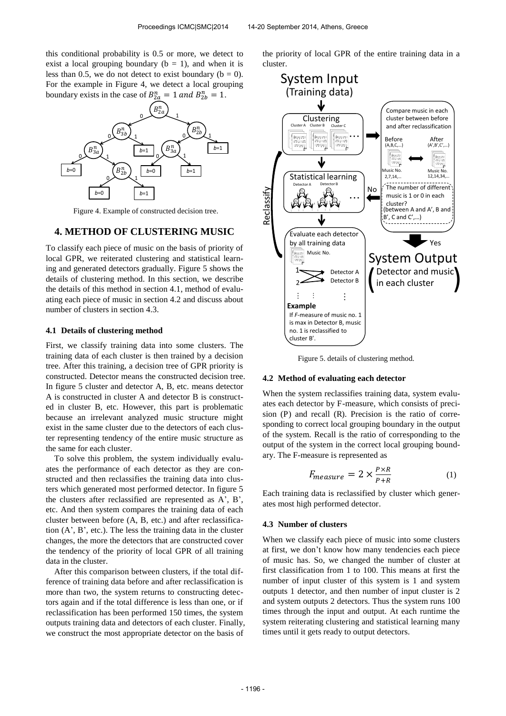this conditional probability is 0.5 or more, we detect to exist a local grouping boundary ( $b = 1$ ), and when it is less than 0.5, we do not detect to exist boundary ( $b = 0$ ). For the example in Figure 4, we detect a local grouping boundary exists in the case of  $B_{2a}^n = 1$  and  $B_{2b}^n = 1$ .



Figure 4. Example of constructed decision tree.

## **4. METHOD OF CLUSTERING MUSIC**

To classify each piece of music on the basis of priority of local GPR, we reiterated clustering and statistical learning and generated detectors gradually. Figure 5 shows the details of clustering method. In this section, we describe the details of this method in section 4.1, method of evaluating each piece of music in section 4.2 and discuss about number of clusters in section 4.3.

#### **4.1 Details of clustering method**

First, we classify training data into some clusters. The training data of each cluster is then trained by a decision tree. After this training, a decision tree of GPR priority is constructed. Detector means the constructed decision tree. In figure 5 cluster and detector A, B, etc. means detector A is constructed in cluster A and detector B is constructed in cluster B, etc. However, this part is problematic because an irrelevant analyzed music structure might exist in the same cluster due to the detectors of each cluster representing tendency of the entire music structure as the same for each cluster.

To solve this problem, the system individually evaluates the performance of each detector as they are constructed and then reclassifies the training data into clusters which generated most performed detector. In figure 5 the clusters after reclassified are represented as A', B', etc. And then system compares the training data of each cluster between before (A, B, etc.) and after reclassification (A', B', etc.). The less the training data in the cluster changes, the more the detectors that are constructed cover the tendency of the priority of local GPR of all training data in the cluster.

After this comparison between clusters, if the total difference of training data before and after reclassification is more than two, the system returns to constructing detectors again and if the total difference is less than one, or if reclassification has been performed 150 times, the system outputs training data and detectors of each cluster. Finally, we construct the most appropriate detector on the basis of

the priority of local GPR of the entire training data in a cluster.



Figure 5. details of clustering method.

#### **4.2 Method of evaluating each detector**

When the system reclassifies training data, system evaluates each detector by F-measure, which consists of precision (P) and recall (R). Precision is the ratio of corresponding to correct local grouping boundary in the output of the system. Recall is the ratio of corresponding to the output of the system in the correct local grouping boundary. The F-measure is represented as

$$
F_{measure} = 2 \times \frac{P \times R}{P + R} \tag{1}
$$

Each training data is reclassified by cluster which generates most high performed detector.

#### **4.3 Number of clusters**

When we classify each piece of music into some clusters at first, we don't know how many tendencies each piece of music has. So, we changed the number of cluster at first classification from 1 to 100. This means at first the number of input cluster of this system is 1 and system outputs 1 detector, and then number of input cluster is 2 and system outputs 2 detectors. Thus the system runs 100 times through the input and output. At each runtime the system reiterating clustering and statistical learning many times until it gets ready to output detectors.